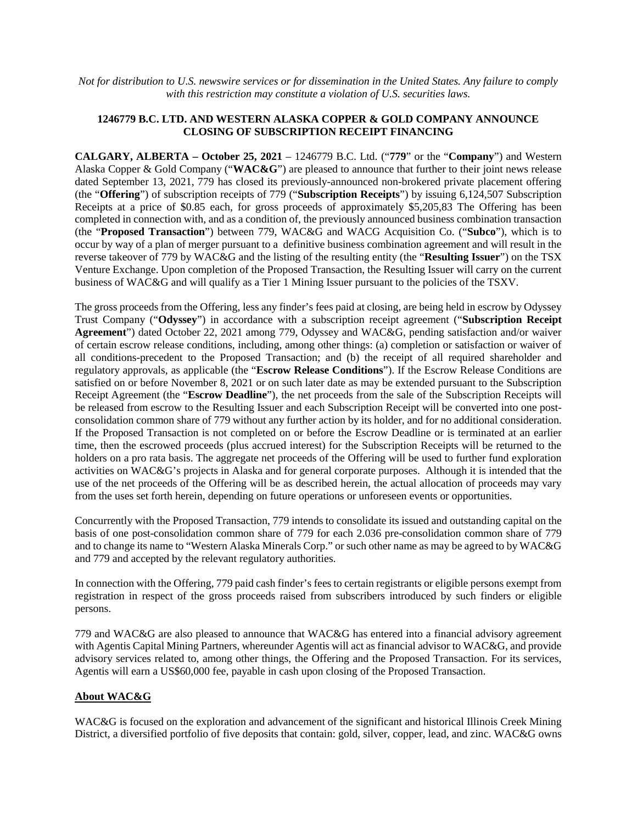*Not for distribution to U.S. newswire services or for dissemination in the United States. Any failure to comply with this restriction may constitute a violation of U.S. securities laws.*

## **1246779 B.C. LTD. AND WESTERN ALASKA COPPER & GOLD COMPANY ANNOUNCE CLOSING OF SUBSCRIPTION RECEIPT FINANCING**

**CALGARY, ALBERTA – October 25, 2021** – 1246779 B.C. Ltd. ("**779**" or the "**Company**") and Western Alaska Copper & Gold Company ("**WAC&G**") are pleased to announce that further to their joint news release dated September 13, 2021, 779 has closed its previously-announced non-brokered private placement offering (the "**Offering**") of subscription receipts of 779 ("**Subscription Receipts**") by issuing 6,124,507 Subscription Receipts at a price of \$0.85 each, for gross proceeds of approximately \$5,205,83 The Offering has been completed in connection with, and as a condition of, the previously announced business combination transaction (the "**Proposed Transaction**") between 779, WAC&G and WACG Acquisition Co. ("**Subco**"), which is to occur by way of a plan of merger pursuant to a definitive business combination agreement and will result in the reverse takeover of 779 by WAC&G and the listing of the resulting entity (the "**Resulting Issuer**") on the TSX Venture Exchange. Upon completion of the Proposed Transaction, the Resulting Issuer will carry on the current business of WAC&G and will qualify as a Tier 1 Mining Issuer pursuant to the policies of the TSXV.

The gross proceeds from the Offering, less any finder's fees paid at closing, are being held in escrow by Odyssey Trust Company ("**Odyssey**") in accordance with a subscription receipt agreement ("**Subscription Receipt Agreement**") dated October 22, 2021 among 779, Odyssey and WAC&G, pending satisfaction and/or waiver of certain escrow release conditions, including, among other things: (a) completion or satisfaction or waiver of all conditions-precedent to the Proposed Transaction; and (b) the receipt of all required shareholder and regulatory approvals, as applicable (the "**Escrow Release Conditions**"). If the Escrow Release Conditions are satisfied on or before November 8, 2021 or on such later date as may be extended pursuant to the Subscription Receipt Agreement (the "**Escrow Deadline**"), the net proceeds from the sale of the Subscription Receipts will be released from escrow to the Resulting Issuer and each Subscription Receipt will be converted into one postconsolidation common share of 779 without any further action by its holder, and for no additional consideration. If the Proposed Transaction is not completed on or before the Escrow Deadline or is terminated at an earlier time, then the escrowed proceeds (plus accrued interest) for the Subscription Receipts will be returned to the holders on a pro rata basis. The aggregate net proceeds of the Offering will be used to further fund exploration activities on WAC&G's projects in Alaska and for general corporate purposes. Although it is intended that the use of the net proceeds of the Offering will be as described herein, the actual allocation of proceeds may vary from the uses set forth herein, depending on future operations or unforeseen events or opportunities.

Concurrently with the Proposed Transaction, 779 intends to consolidate its issued and outstanding capital on the basis of one post-consolidation common share of 779 for each 2.036 pre-consolidation common share of 779 and to change its name to "Western Alaska Minerals Corp." or such other name as may be agreed to by WAC&G and 779 and accepted by the relevant regulatory authorities.

In connection with the Offering, 779 paid cash finder's fees to certain registrants or eligible persons exempt from registration in respect of the gross proceeds raised from subscribers introduced by such finders or eligible persons.

779 and WAC&G are also pleased to announce that WAC&G has entered into a financial advisory agreement with Agentis Capital Mining Partners, whereunder Agentis will act as financial advisor to WAC&G, and provide advisory services related to, among other things, the Offering and the Proposed Transaction. For its services, Agentis will earn a US\$60,000 fee, payable in cash upon closing of the Proposed Transaction.

## **About WAC&G**

WAC&G is focused on the exploration and advancement of the significant and historical Illinois Creek Mining District, a diversified portfolio of five deposits that contain: gold, silver, copper, lead, and zinc. WAC&G owns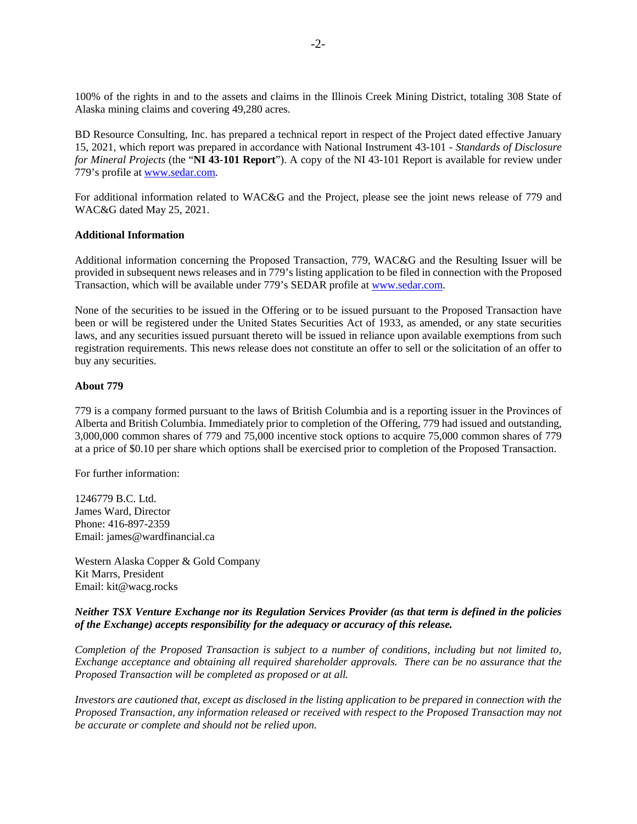100% of the rights in and to the assets and claims in the Illinois Creek Mining District, totaling 308 State of Alaska mining claims and covering 49,280 acres.

BD Resource Consulting, Inc. has prepared a technical report in respect of the Project dated effective January 15, 2021, which report was prepared in accordance with National Instrument 43-101 - *Standards of Disclosure for Mineral Projects* (the "**NI 43-101 Report**"). A copy of the NI 43-101 Report is available for review under 779's profile at www.sedar.com.

For additional information related to WAC&G and the Project, please see the joint news release of 779 and WAC&G dated May 25, 2021.

### **Additional Information**

Additional information concerning the Proposed Transaction, 779, WAC&G and the Resulting Issuer will be provided in subsequent news releases and in 779's listing application to be filed in connection with the Proposed Transaction, which will be available under 779's SEDAR profile at www.sedar.com.

None of the securities to be issued in the Offering or to be issued pursuant to the Proposed Transaction have been or will be registered under the United States Securities Act of 1933, as amended, or any state securities laws, and any securities issued pursuant thereto will be issued in reliance upon available exemptions from such registration requirements. This news release does not constitute an offer to sell or the solicitation of an offer to buy any securities.

# **About 779**

779 is a company formed pursuant to the laws of British Columbia and is a reporting issuer in the Provinces of Alberta and British Columbia. Immediately prior to completion of the Offering, 779 had issued and outstanding, 3,000,000 common shares of 779 and 75,000 incentive stock options to acquire 75,000 common shares of 779 at a price of \$0.10 per share which options shall be exercised prior to completion of the Proposed Transaction.

For further information:

1246779 B.C. Ltd. James Ward, Director Phone: 416-897-2359 Email: james@wardfinancial.ca

Western Alaska Copper & Gold Company Kit Marrs, President Email: kit@wacg.rocks

### *Neither TSX Venture Exchange nor its Regulation Services Provider (as that term is defined in the policies of the Exchange) accepts responsibility for the adequacy or accuracy of this release.*

*Completion of the Proposed Transaction is subject to a number of conditions, including but not limited to, Exchange acceptance and obtaining all required shareholder approvals. There can be no assurance that the Proposed Transaction will be completed as proposed or at all.*

*Investors are cautioned that, except as disclosed in the listing application to be prepared in connection with the Proposed Transaction, any information released or received with respect to the Proposed Transaction may not be accurate or complete and should not be relied upon.*